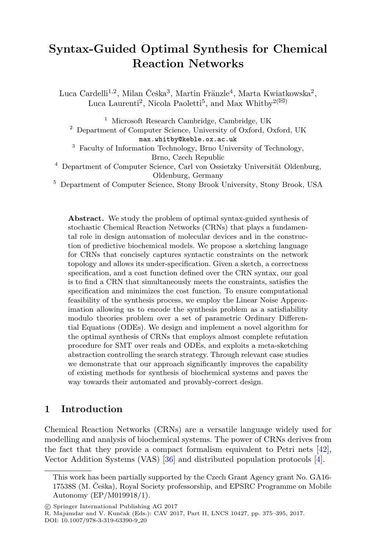# **Syntax-Guided Optimal Synthesis for Chemical Reaction Networks**

Luca Cardelli<sup>1,2</sup>, Milan Češka<sup>3</sup>, Martin Fränzle<sup>4</sup>, Marta Kwiatkowska<sup>2</sup>, Luca Laurenti<sup>2</sup>, Nicola Paoletti<sup>5</sup>, and Max Whitby<sup>2( $\boxtimes$ )</sup>

<sup>1</sup> Microsoft Research Cambridge, Cambridge, UK

<sup>2</sup> Department of Computer Science, University of Oxford, Oxford, UK max.whitby@keble.ox.ac.uk

<sup>3</sup> Faculty of Information Technology, Brno University of Technology, Brno, Czech Republic

 $4$  Department of Computer Science, Carl von Ossietzky Universität Oldenburg, Oldenburg, Germany

<sup>5</sup> Department of Computer Science, Stony Brook University, Stony Brook, USA

**Abstract.** We study the problem of optimal syntax-guided synthesis of stochastic Chemical Reaction Networks (CRNs) that plays a fundamental role in design automation of molecular devices and in the construction of predictive biochemical models. We propose a sketching language for CRNs that concisely captures syntactic constraints on the network topology and allows its under-specification. Given a sketch, a correctness specification, and a cost function defined over the CRN syntax, our goal is to find a CRN that simultaneously meets the constraints, satisfies the specification and minimizes the cost function. To ensure computational feasibility of the synthesis process, we employ the Linear Noise Approximation allowing us to encode the synthesis problem as a satisfiability modulo theories problem over a set of parametric Ordinary Differential Equations (ODEs). We design and implement a novel algorithm for the optimal synthesis of CRNs that employs almost complete refutation procedure for SMT over reals and ODEs, and exploits a meta-sketching abstraction controlling the search strategy. Through relevant case studies we demonstrate that our approach significantly improves the capability of existing methods for synthesis of biochemical systems and paves the way towards their automated and provably-correct design.

# **1 Introduction**

Chemical Reaction Networks (CRNs) are a versatile language widely used for modelling and analysis of biochemical systems. The power of CRNs derives from the fact that they provide a compact formalism equivalent to Petri nets [\[42\]](#page-19-0), Vector Addition Systems (VAS) [\[36\]](#page-19-1) and distributed population protocols [\[4\]](#page-17-0).

This work has been partially supported by the Czech Grant Agency grant No. GA16- 17538S (M. Češka), Royal Society professorship, and EPSRC Programme on Mobile Autonomy (EP/M019918/1).

<sup>-</sup>c Springer International Publishing AG 2017

R. Majumdar and V. Kunˇcak (Eds.): CAV 2017, Part II, LNCS 10427, pp. 375–395, 2017. DOI: 10.1007/978-3-319-63390-9 20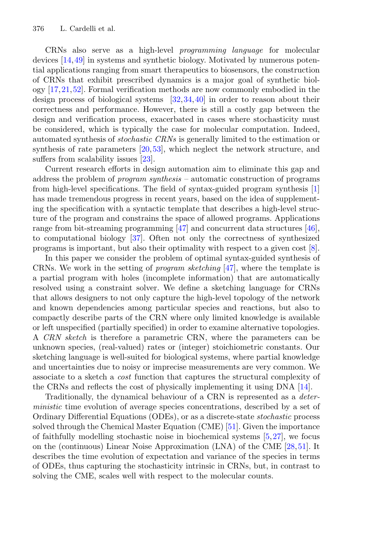CRNs also serve as a high-level *programming language* for molecular devices [\[14,](#page-18-0)[49\]](#page-19-2) in systems and synthetic biology. Motivated by numerous potential applications ranging from smart therapeutics to biosensors, the construction of CRNs that exhibit prescribed dynamics is a major goal of synthetic biology [\[17](#page-18-1)[,21](#page-18-2),[52\]](#page-20-0). Formal verification methods are now commonly embodied in the design process of biological systems [\[32](#page-19-3)[,34](#page-19-4),[40\]](#page-19-5) in order to reason about their correctness and performance. However, there is still a costly gap between the design and verification process, exacerbated in cases where stochasticity must be considered, which is typically the case for molecular computation. Indeed, automated synthesis of *stochastic CRNs* is generally limited to the estimation or synthesis of rate parameters [\[20](#page-18-3),[53\]](#page-20-1), which neglect the network structure, and suffers from scalability issues [\[23](#page-18-4)].

Current research efforts in design automation aim to eliminate this gap and address the problem of *program synthesis* – automatic construction of programs from high-level specifications. The field of syntax-guided program synthesis [\[1](#page-17-1)] has made tremendous progress in recent years, based on the idea of supplementing the specification with a syntactic template that describes a high-level structure of the program and constrains the space of allowed programs. Applications range from bit-streaming programming [\[47](#page-19-6)] and concurrent data structures [\[46\]](#page-19-7), to computational biology [\[37](#page-19-8)]. Often not only the correctness of synthesized programs is important, but also their optimality with respect to a given cost [\[8\]](#page-17-2).

In this paper we consider the problem of optimal syntax-guided synthesis of CRNs. We work in the setting of *program sketching* [\[47](#page-19-6)], where the template is a partial program with holes (incomplete information) that are automatically resolved using a constraint solver. We define a sketching language for CRNs that allows designers to not only capture the high-level topology of the network and known dependencies among particular species and reactions, but also to compactly describe parts of the CRN where only limited knowledge is available or left unspecified (partially specified) in order to examine alternative topologies. A *CRN sketch* is therefore a parametric CRN, where the parameters can be unknown species, (real-valued) rates or (integer) stoichiometric constants. Our sketching language is well-suited for biological systems, where partial knowledge and uncertainties due to noisy or imprecise measurements are very common. We associate to a sketch a *cost* function that captures the structural complexity of the CRNs and reflects the cost of physically implementing it using DNA [\[14](#page-18-0)].

Traditionally, the dynamical behaviour of a CRN is represented as a *deterministic* time evolution of average species concentrations, described by a set of Ordinary Differential Equations (ODEs), or as a discrete-state *stochastic* process solved through the Chemical Master Equation (CME) [\[51](#page-20-2)]. Given the importance of faithfully modelling stochastic noise in biochemical systems [\[5,](#page-17-3)[27\]](#page-18-5), we focus on the (continuous) Linear Noise Approximation (LNA) of the CME [\[28](#page-18-6),[51\]](#page-20-2). It describes the time evolution of expectation and variance of the species in terms of ODEs, thus capturing the stochasticity intrinsic in CRNs, but, in contrast to solving the CME, scales well with respect to the molecular counts.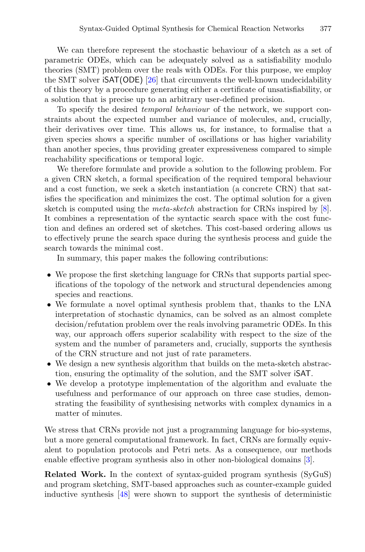We can therefore represent the stochastic behaviour of a sketch as a set of parametric ODEs, which can be adequately solved as a satisfiability modulo theories (SMT) problem over the reals with ODEs. For this purpose, we employ the SMT solver iSAT(ODE) [\[26\]](#page-18-7) that circumvents the well-known undecidability of this theory by a procedure generating either a certificate of unsatisfiability, or a solution that is precise up to an arbitrary user-defined precision.

To specify the desired *temporal behaviour* of the network, we support constraints about the expected number and variance of molecules, and, crucially, their derivatives over time. This allows us, for instance, to formalise that a given species shows a specific number of oscillations or has higher variability than another species, thus providing greater expressiveness compared to simple reachability specifications or temporal logic.

We therefore formulate and provide a solution to the following problem. For a given CRN sketch, a formal specification of the required temporal behaviour and a cost function, we seek a sketch instantiation (a concrete CRN) that satisfies the specification and minimizes the cost. The optimal solution for a given sketch is computed using the *meta-sketch* abstraction for CRNs inspired by [\[8\]](#page-17-2). It combines a representation of the syntactic search space with the cost function and defines an ordered set of sketches. This cost-based ordering allows us to effectively prune the search space during the synthesis process and guide the search towards the minimal cost.

In summary, this paper makes the following contributions:

- We propose the first sketching language for CRNs that supports partial specifications of the topology of the network and structural dependencies among species and reactions.
- We formulate a novel optimal synthesis problem that, thanks to the LNA interpretation of stochastic dynamics, can be solved as an almost complete decision/refutation problem over the reals involving parametric ODEs. In this way, our approach offers superior scalability with respect to the size of the system and the number of parameters and, crucially, supports the synthesis of the CRN structure and not just of rate parameters.
- We design a new synthesis algorithm that builds on the meta-sketch abstraction, ensuring the optimality of the solution, and the SMT solver iSAT.
- We develop a prototype implementation of the algorithm and evaluate the usefulness and performance of our approach on three case studies, demonstrating the feasibility of synthesising networks with complex dynamics in a matter of minutes.

We stress that CRNs provide not just a programming language for bio-systems, but a more general computational framework. In fact, CRNs are formally equivalent to population protocols and Petri nets. As a consequence, our methods enable effective program synthesis also in other non-biological domains [\[3\]](#page-17-4).

**Related Work.** In the context of syntax-guided program synthesis (SyGuS) and program sketching, SMT-based approaches such as counter-example guided inductive synthesis [\[48](#page-19-9)] were shown to support the synthesis of deterministic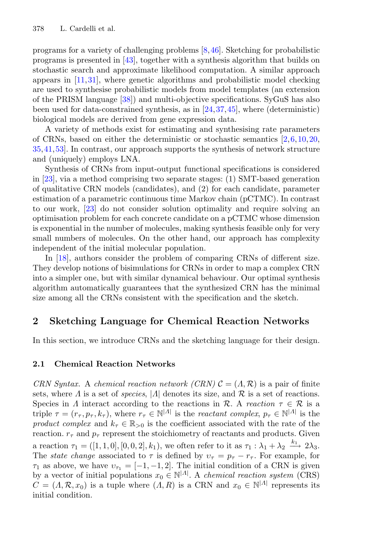programs for a variety of challenging problems [\[8,](#page-17-2)[46\]](#page-19-7). Sketching for probabilistic programs is presented in [\[43](#page-19-10)], together with a synthesis algorithm that builds on stochastic search and approximate likelihood computation. A similar approach appears in  $[11,31]$  $[11,31]$ , where genetic algorithms and probabilistic model checking are used to synthesise probabilistic models from model templates (an extension of the PRISM language [\[38](#page-19-12)]) and multi-objective specifications. SyGuS has also been used for data-constrained synthesis, as in  $[24,37,45]$  $[24,37,45]$  $[24,37,45]$  $[24,37,45]$ , where (deterministic) biological models are derived from gene expression data.

A variety of methods exist for estimating and synthesising rate parameters of CRNs, based on either the deterministic or stochastic semantics [\[2](#page-17-6)[,6](#page-17-7),[10](#page-17-8)[,20](#page-18-3), [35](#page-19-14)[,41](#page-19-15),[53\]](#page-20-1). In contrast, our approach supports the synthesis of network structure and (uniquely) employs LNA.

Synthesis of CRNs from input-output functional specifications is considered in [\[23](#page-18-4)], via a method comprising two separate stages: (1) SMT-based generation of qualitative CRN models (candidates), and (2) for each candidate, parameter estimation of a parametric continuous time Markov chain (pCTMC). In contrast to our work, [\[23](#page-18-4)] do not consider solution optimality and require solving an optimisation problem for each concrete candidate on a pCTMC whose dimension is exponential in the number of molecules, making synthesis feasible only for very small numbers of molecules. On the other hand, our approach has complexity independent of the initial molecular population.

In [\[18](#page-18-9)], authors consider the problem of comparing CRNs of different size. They develop notions of bisimulations for CRNs in order to map a complex CRN into a simpler one, but with similar dynamical behaviour. Our optimal synthesis algorithm automatically guarantees that the synthesized CRN has the minimal size among all the CRNs consistent with the specification and the sketch.

### **2 Sketching Language for Chemical Reaction Networks**

In this section, we introduce CRNs and the sketching language for their design.

#### <span id="page-3-0"></span>**2.1 Chemical Reaction Networks**

*CRN Syntax.* A *chemical reaction network (CRN)*  $\mathcal{C} = (\Lambda, \mathcal{R})$  is a pair of finite sets, where  $\Lambda$  is a set of *species*,  $|\Lambda|$  denotes its size, and  $\mathcal R$  is a set of reactions. Species in  $\Lambda$  interact according to the reactions in  $\mathcal{R}$ . A *reaction*  $\tau \in \mathcal{R}$  is a triple  $\tau = (r_{\tau}, p_{\tau}, k_{\tau})$ , where  $r_{\tau} \in \mathbb{N}^{|\Lambda|}$  is the *reactant complex*,  $p_{\tau} \in \mathbb{N}^{|\Lambda|}$  is the *product complex* and  $k_{\tau} \in \mathbb{R}_{>0}$  is the coefficient associated with the rate of the reaction.  $r_{\tau}$  and  $p_{\tau}$  represent the stoichiometry of reactants and products. Given a reaction  $\tau_1 = ([1, 1, 0], [0, 0, 2], k_1)$ , we often refer to it as  $\tau_1 : \lambda_1 + \lambda_2 \xrightarrow{k_1} 2\lambda_3$ . The *state change* associated to  $\tau$  is defined by  $v_{\tau} = p_{\tau} - r_{\tau}$ . For example, for  $\tau_1$  as above, we have  $v_{\tau_1} = [-1, -1, 2]$ . The initial condition of a CRN is given by a vector of initial populations  $x_0 \in \mathbb{N}^{|A|}$ . A *chemical reaction system* (CRS)  $C = (A, \mathcal{R}, x_0)$  is a tuple where  $(A, R)$  is a CRN and  $x_0 \in \mathbb{N}^{|A|}$  represents its initial condition.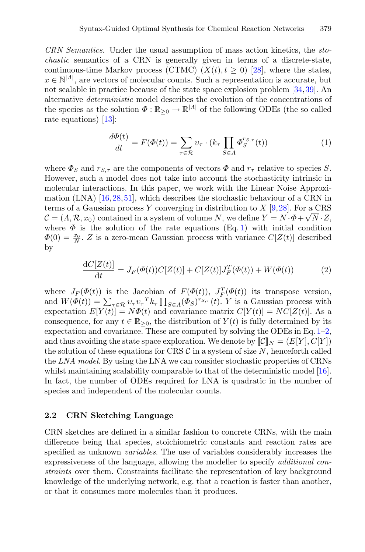*CRN Semantics.* Under the usual assumption of mass action kinetics, the *stochastic* semantics of a CRN is generally given in terms of a discrete-state, continuous-time Markov process (CTMC)  $(X(t), t \ge 0)$  [\[28\]](#page-18-6), where the states,  $x \in \mathbb{N}^{|\Lambda|}$ , are vectors of molecular counts. Such a representation is accurate, but not scalable in practice because of the state space explosion problem [\[34](#page-19-4)[,39\]](#page-19-16). An alternative *deterministic* model describes the evolution of the concentrations of the species as the solution  $\Phi : \mathbb{R}_{\geq 0} \to \mathbb{R}^{|A|}$  of the following ODEs (the so called rate equations) [\[13](#page-18-10)]:

$$
\frac{d\Phi(t)}{dt} = F(\Phi(t)) = \sum_{\tau \in \mathcal{R}} \upsilon_{\tau} \cdot (k_{\tau} \prod_{S \in \Lambda} \Phi_S^{r_{S,\tau}}(t)) \tag{1}
$$

<span id="page-4-0"></span>where  $\Phi_S$  and  $r_{S,\tau}$  are the components of vectors  $\Phi$  and  $r_{\tau}$  relative to species S. However, such a model does not take into account the stochasticity intrinsic in molecular interactions. In this paper, we work with the Linear Noise Approximation  $(LNA)$  [\[16,](#page-18-11)[28](#page-18-6)[,51](#page-20-2)], which describes the stochastic behaviour of a CRN in terms of a Gaussian process Y converging in distribution to  $X$  [\[9](#page-17-9),[28\]](#page-18-6). For a CRS  $\mathcal{C} = (A, \mathcal{R}, x_0)$  contained in a system of volume N, we define  $Y = N \cdot \Phi + \sqrt{N} \cdot Z$ , where  $\Phi$  is the solution of the rate equations (Eq. [1\)](#page-4-0) with initial condition  $\Phi(0) = \frac{x_0}{N}$ . Z is a zero-mean Gaussian process with variance  $C[Z(t)]$  described by

<span id="page-4-1"></span>
$$
\frac{dC[Z(t)]}{dt} = J_F(\Phi(t))C[Z(t)] + C[Z(t)]J_F^T(\Phi(t)) + W(\Phi(t))
$$
\n(2)

where  $J_F(\Phi(t))$  is the Jacobian of  $F(\Phi(t))$ ,  $J_F^T(\Phi(t))$  its transpose version, and  $W(\Phi(t)) = \sum_{\tau \in \mathcal{R}} v_{\tau} v_{\tau}^T k_{\tau} \prod_{S \in A} (\Phi_S)^{r_{S,\tau}}(t)$ . Y is a Gaussian process with expectation  $E[Y(t)] = N\Phi(t)$  and covariance matrix  $C[Y(t)] = NC[Z(t)]$ . As a consequence, for any  $t \in \mathbb{R}_{\geq 0}$ , the distribution of  $Y(t)$  is fully determined by its expectation and covariance. These are computed by solving the ODEs in Eq.  $1-2$ , and thus avoiding the state space exploration. We denote by  $\mathcal{C}|_N = (E[Y], C[Y])$ the solution of these equations for CRS  $\mathcal C$  in a system of size N, henceforth called the *LNA model*. By using the LNA we can consider stochastic properties of CRNs whilst maintaining scalability comparable to that of the deterministic model [\[16\]](#page-18-11). In fact, the number of ODEs required for LNA is quadratic in the number of species and independent of the molecular counts.

#### **2.2 CRN Sketching Language**

CRN sketches are defined in a similar fashion to concrete CRNs, with the main difference being that species, stoichiometric constants and reaction rates are specified as unknown *variables*. The use of variables considerably increases the expressiveness of the language, allowing the modeller to specify *additional constraints* over them. Constraints facilitate the representation of key background knowledge of the underlying network, e.g. that a reaction is faster than another, or that it consumes more molecules than it produces.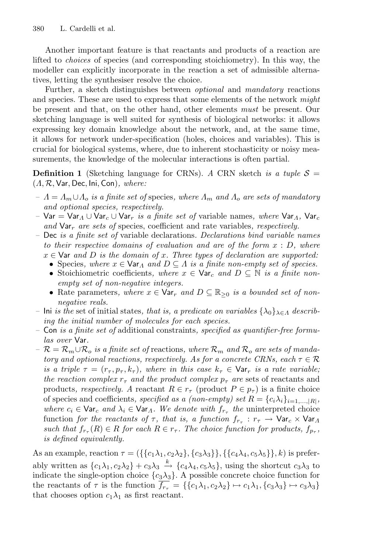Another important feature is that reactants and products of a reaction are lifted to *choices* of species (and corresponding stoichiometry). In this way, the modeller can explicitly incorporate in the reaction a set of admissible alternatives, letting the synthesiser resolve the choice.

Further, a sketch distinguishes between *optional* and *mandatory* reactions and species. These are used to express that some elements of the network *might* be present and that, on the other hand, other elements *must* be present. Our sketching language is well suited for synthesis of biological networks: it allows expressing key domain knowledge about the network, and, at the same time, it allows for network under-specification (holes, choices and variables). This is crucial for biological systems, where, due to inherent stochasticity or noisy measurements, the knowledge of the molecular interactions is often partial.

**Definition 1** (Sketching language for CRNs). *A* CRN sketch *is a tuple*  $S =$ (Λ, R,Var, Dec, Ini, Con)*, where:*

- $A = \Lambda_m \cup \Lambda_o$  *is a finite set of species, where*  $\Lambda_m$  *and*  $\Lambda_o$  *are sets of mandatory and optional species, respectively.*
- $-Var = Var_A \cup Var_c \cup Var_r$  *is a finite set of variable names, where*  $Var_A$ ,  $Var_c$ and  $\forall$ **ar**<sub>r</sub> are sets of species, coefficient and rate variables, respectively.
- *–* Dec *is a finite set of* variable declarations*. Declarations bind variable names to their respective domains of evaluation and are of the form* x : D*, where*  $x \in \mathsf{Var}$  *and* D *is the domain of* x. Three types of declaration are supported:
	- Species, where  $x \in \text{Var}_A$  and  $D \subseteq A$  is a finite non-empty set of species.
	- Stoichiometric coefficients, where  $x \in \mathsf{Var}_c$  and  $D \subseteq \mathbb{N}$  is a finite non*empty set of non-negative integers.*
	- Rate parameters, where  $x \in \text{Var}_r$  and  $D \subseteq \mathbb{R}_{\geq 0}$  *is a bounded set of nonnegative reals.*
- *–* Ini *is the* set of initial states*, that is, a predicate on variables* {λ0}<sup>λ</sup>∈<sup>Λ</sup> *describing the initial number of molecules for each species.*
- *–* Con *is a finite set of* additional constraints*, specified as quantifier-free formulas over* Var*.*
- $− \mathcal{R} = \mathcal{R}_m \cup \mathcal{R}_o$  *is a finite set of* reactions, where  $\mathcal{R}_m$  and  $\mathcal{R}_o$  are sets of manda*tory and optional reactions, respectively. As for a concrete CRNs, each*  $\tau \in \mathcal{R}$ *is a triple*  $\tau = (r_{\tau}, p_{\tau}, k_{\tau})$ *, where in this case*  $k_{\tau} \in \text{Var}_{r}$  *is a rate variable*; *the reaction complex*  $r_{\tau}$  *and the product complex*  $p_{\tau}$  *are* sets of reactants and products, respectively. A reactant  $R \in r_{\tau}$  (product  $P \in p_{\tau}$ ) is a finite choice of species and coefficients, specified as a (non-empty) set  $R = \{c_i \lambda_i\}_{i=1,\dots,|\overline{R}|}$ , *where*  $c_i \in \text{Var}_c$  *and*  $\lambda_i \in \text{Var}_A$ *. We denote with*  $f_{r_{\tau}}$  *the* uninterpreted choice function *for the reactants of*  $\tau$ *, that is, a function*  $f_{r_{\tau}} : r_{\tau} \to \text{Var}_{c} \times \text{Var}_{\Lambda}$ *such that*  $f_{r_{\tau}}(R) \in R$  *for each*  $R \in r_{\tau}$ *. The choice function for products,*  $f_{p_{\tau}}$ *, is defined equivalently.*

As an example, reaction  $\tau = (\{\{c_1\lambda_1, c_2\lambda_2\}, \{c_3\lambda_3\}\}, \{\{c_4\lambda_4, c_5\lambda_5\}\}, k)$  is preferably written as  $\{c_1\lambda_1, c_2\lambda_2\} + c_3\lambda_3 \stackrel{k}{\rightarrow} \{c_4\lambda_4, c_5\lambda_5\}$ , using the shortcut  $c_3\lambda_3$  to indicate the single-option choice  ${c_3 \lambda_3}$ . A possible concrete choice function for the reactants of  $\tau$  is the function  $\overline{f_{r_{\tau}}} = {\{c_1\lambda_1, c_2\lambda_2\} \mapsto c_1\lambda_1, \{c_3\lambda_3\} \mapsto c_3\lambda_3\}}$ that chooses option  $c_1\lambda_1$  as first reactant.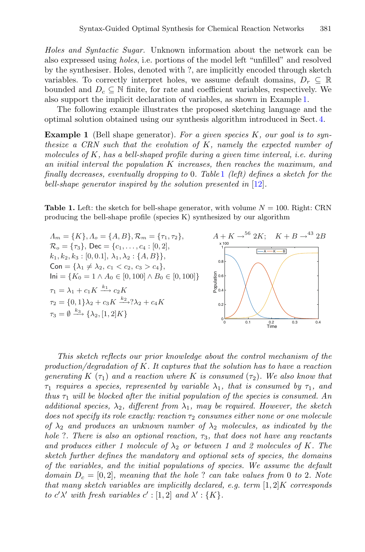*Holes and Syntactic Sugar.* Unknown information about the network can be also expressed using *holes*, i.e. portions of the model left "unfilled" and resolved by the synthesiser. Holes, denoted with ?, are implicitly encoded through sketch variables. To correctly interpret holes, we assume default domains,  $D_r \subseteq \mathbb{R}$ bounded and  $D_c \subseteq \mathbb{N}$  finite, for rate and coefficient variables, respectively. We also support the implicit declaration of variables, as shown in Example [1.](#page-6-0)

<span id="page-6-0"></span>The following example illustrates the proposed sketching language and the optimal solution obtained using our synthesis algorithm introduced in Sect. [4.](#page-10-0)

**Example 1** (Bell shape generator). *For a given species* K*, our goal is to synthesize a CRN such that the evolution of* K*, namely the expected number of molecules of* K*, has a bell-shaped profile during a given time interval, i.e. during an initial interval the population* K *increases, then reaches the maximum, and finally decreases, eventually dropping to* 0*. Table* [1](#page-6-1) *(left) defines a sketch for the bell-shape generator inspired by the solution presented in* [\[12\]](#page-17-10)*.*

<span id="page-6-1"></span>**Table 1.** Left: the sketch for bell-shape generator, with volume  $N = 100$ . Right: CRN producing the bell-shape profile (species K) synthesized by our algorithm



*This sketch reflects our prior knowledge about the control mechanism of the production/degradation of* K*. It captures that the solution has to have a reaction generating* K  $(\tau_1)$  *and a reaction where* K *is consumed*  $(\tau_2)$ *. We also know that*  $\tau_1$  *requires a species, represented by variable*  $\lambda_1$ *, that is consumed by*  $\tau_1$ *, and thus*  $\tau_1$  *will be blocked after the initial population of the species is consumed. An additional species,*  $\lambda_2$ *, different from*  $\lambda_1$ *, may be required. However, the sketch does not specify its role exactly: reaction* τ<sub>2</sub> *consumes either none or one molecule of*  $\lambda_2$  *and produces an unknown number of*  $\lambda_2$  *molecules, as indicated by the hole* ?. There is also an optional reaction, τ<sub>3</sub>, that does not have any reactants and produces either 1 molecule of  $\lambda_2$  or between 1 and 2 molecules of K. The *sketch further defines the mandatory and optional sets of species, the domains of the variables, and the initial populations of species. We assume the default domain*  $D_c = [0, 2]$ *, meaning that the hole* ? *can take values from* 0 *to* 2*. Note that many sketch variables are implicitly declared, e.g. term* [1, 2]K *corresponds to*  $c' \lambda'$  *with fresh variables*  $c' : [1, 2]$  *and*  $\lambda' : \{K\}.$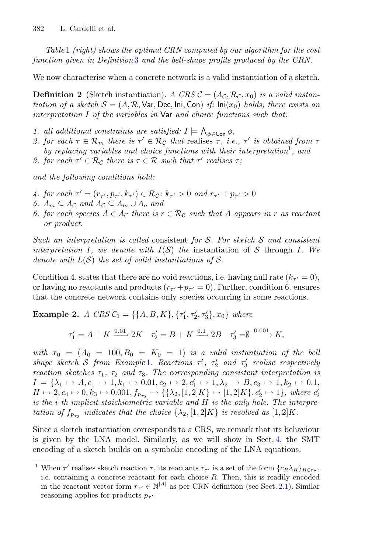*Table* [1](#page-6-1) *(right) shows the optimal CRN computed by our algorithm for the cost function given in Definition* [3](#page-10-1) *and the bell-shape profile produced by the CRN.*

<span id="page-7-2"></span>We now characterise when a concrete network is a valid instantiation of a sketch.

**Definition 2** (Sketch instantiation). *A CRS*  $\mathcal{C} = (\Lambda_{\mathcal{C}}, \mathcal{R}_{\mathcal{C}}, x_0)$  *is a valid instantiation of a sketch*  $S = (A, \mathcal{R}, \mathsf{Var}, \mathsf{Dec}, \mathsf{Ini}, \mathsf{Con})$  *if:*  $\mathsf{Ini}(x_0)$  *holds; there exists an interpretation* I *of the variables in* Var *and choice functions such that:*

- *1. all additional constraints are satisfied:*  $I \models \bigwedge_{\phi \in \mathsf{Con}} \phi$ ,
- *2. for each*  $\tau \in \mathcal{R}_m$  *there is*  $\tau' \in \mathcal{R}_c$  *that* realises  $\tau$ *, i.e.,*  $\tau'$  *is obtained from*  $\tau$ *by replacing variables and choice functions with their interpretation*[1](#page-7-0)*, and*
- *3. for each*  $\tau' \in \mathcal{R}_c$  *there is*  $\tau \in \mathcal{R}$  *such that*  $\tau'$  *realises*  $\tau$ *;*

*and the following conditions hold:*

- *4. for each*  $\tau' = (r_{\tau'}, p_{\tau'}, k_{\tau'}) \in \mathcal{R}_{\mathcal{C}} : k_{\tau'} > 0$  *and*  $r_{\tau'} + p_{\tau'} > 0$
- *5.*  $\Lambda_m \subseteq \Lambda_c$  and  $\Lambda_c \subseteq \Lambda_m \cup \Lambda_o$  and
- *6. for each species*  $A \in \Lambda_c$  *there is*  $r \in \mathcal{R}_c$  *such that* A *appears in* r *as reactant or product.*

*Such an interpretation is called* consistent *for* S*. For sketch* S *and consistent interpretation* I, we denote with  $I(S)$  the instantiation of S through I. We *denote with* L(S) *the set of valid instantiations of* S*.*

Condition 4. states that there are no void reactions, i.e. having null rate  $(k_{\tau'} = 0)$ , or having no reactants and products  $(r_{\tau'}+p_{\tau'}=0)$ . Further, condition 6. ensures that the concrete network contains only species occurring in some reactions.

<span id="page-7-1"></span>**Example 2.** *A CRS*  $C_1 = \{\{A, B, K\}, \{\tau'_1, \tau'_2, \tau'_3\}, x_0\}$  *where* 

$$
\tau_1' = A + K \xrightarrow{0.01} 2K \quad \tau_2' = B + K \xrightarrow{0.1} 2B \quad \tau_3' = \emptyset \xrightarrow{0.001} K,
$$

*with*  $x_0 = (A_0 = 100, B_0 = K_0 = 1)$  *is a valid instantiation of the bell shape sketch* S *from Example* [1](#page-6-0). Reactions  $\tau_1'$ ,  $\tau_2'$  and  $\tau_3'$  realise respectively *reaction sketches*  $\tau_1$ ,  $\tau_2$  *and*  $\tau_3$ *. The corresponding consistent interpretation is*  $I = \{\lambda_1 \mapsto A, c_1 \mapsto 1, k_1 \mapsto 0.01, c_2 \mapsto 2, c'_1 \mapsto 1, \lambda_2 \mapsto B, c_3 \mapsto 1, k_2 \mapsto 0.1,$  $H \mapsto 2, c_4 \mapsto 0, k_3 \mapsto 0.001, f_{p_{\tau_3}} \mapsto {\{\lambda_2, [1,2]K\}} \mapsto [1,2]K\}, c'_2 \mapsto 1\}$ , where  $c'_i$  is the *i*-th implicit stoichiometric variable and H is the only hole. The interpre*tation of*  $f_{p_{\tau2}}$  *indicates that the choice*  $\{\lambda_2, [1, 2]K\}$  *is resolved as*  $[1, 2]K$ .

Since a sketch instantiation corresponds to a CRS, we remark that its behaviour is given by the LNA model. Similarly, as we will show in Sect. [4,](#page-10-0) the SMT encoding of a sketch builds on a symbolic encoding of the LNA equations.

<span id="page-7-0"></span><sup>&</sup>lt;sup>1</sup> When  $\tau'$  realises sketch reaction  $\tau$ , its reactants  $r_{\tau'}$  is a set of the form  $\{c_R \lambda_R\}_{R \in \tau_{\tau}}$ , i.e. containing a concrete reactant for each choice R. Then, this is readily encoded i.e. containing a concrete reactant for each choice R. Then, this is readily encoded in the reactant vector form  $r_{\tau'} \in \mathbb{N}^{|\Lambda|}$  as per CRN definition (see Sect. [2.1\)](#page-3-0). Similar reasoning applies for products  $n_{\tau'}$ . reasoning applies for products  $p_{\tau'}$ .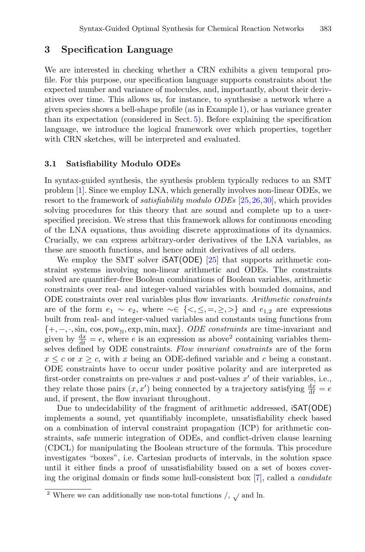### **3 Specification Language**

We are interested in checking whether a CRN exhibits a given temporal profile. For this purpose, our specification language supports constraints about the expected number and variance of molecules, and, importantly, about their derivatives over time. This allows us, for instance, to synthesise a network where a given species shows a bell-shape profile (as in Example [1\)](#page-6-0), or has variance greater than its expectation (considered in Sect. [5\)](#page-14-0). Before explaining the specification language, we introduce the logical framework over which properties, together with CRN sketches, will be interpreted and evaluated.

#### **3.1 Satisfiability Modulo ODEs**

In syntax-guided synthesis, the synthesis problem typically reduces to an SMT problem [\[1](#page-17-1)]. Since we employ LNA, which generally involves non-linear ODEs, we resort to the framework of *satisfiability modulo ODEs* [\[25](#page-18-12)[,26](#page-18-7)[,30](#page-18-13)], which provides solving procedures for this theory that are sound and complete up to a userspecified precision. We stress that this framework allows for continuous encoding of the LNA equations, thus avoiding discrete approximations of its dynamics. Crucially, we can express arbitrary-order derivatives of the LNA variables, as these are smooth functions, and hence admit derivatives of all orders.

We employ the SMT solver  $\text{SAT}(\text{ODE})$  [\[25\]](#page-18-12) that supports arithmetic constraint systems involving non-linear arithmetic and ODEs. The constraints solved are quantifier-free Boolean combinations of Boolean variables, arithmetic constraints over real- and integer-valued variables with bounded domains, and ODE constraints over real variables plus flow invariants. *Arithmetic constraints* are of the form  $e_1 \sim e_2$ , where  $\sim \in \{ \langle \leq, \leq, =, \geq, \rangle \}$  and  $e_{1,2}$  are expressions built from real- and integer-valued variables and constants using functions from {+, −, ·,sin, cos, powN, exp, min, max}. *ODE constraints* are time-invariant and given by  $\frac{dx}{dt} = e$ , where e is an expression as above<sup>[2](#page-8-0)</sup> containing variables themselves defined by ODE constraints. *Flow invariant constraints* are of the form  $x \leq c$  or  $x \geq c$ , with x being an ODE-defined variable and c being a constant. ODE constraints have to occur under positive polarity and are interpreted as first-order constraints on pre-values x and post-values  $x'$  of their variables, i.e., they relate those pairs  $(x, x')$  being connected by a trajectory satisfying  $\frac{dx}{dt} = e$ and, if present, the flow invariant throughout.

Due to undecidability of the fragment of arithmetic addressed, iSAT(ODE) implements a sound, yet quantifiably incomplete, unsatisfiability check based on a combination of interval constraint propagation (ICP) for arithmetic constraints, safe numeric integration of ODEs, and conflict-driven clause learning (CDCL) for manipulating the Boolean structure of the formula. This procedure investigates "boxes", i.e. Cartesian products of intervals, in the solution space until it either finds a proof of unsatisfiability based on a set of boxes covering the original domain or finds some hull-consistent box [\[7\]](#page-17-11), called a *candidate*

<span id="page-8-0"></span><sup>&</sup>lt;sup>2</sup> Where we can additionally use non-total functions  $/$ ,  $\sqrt{ }$  and ln.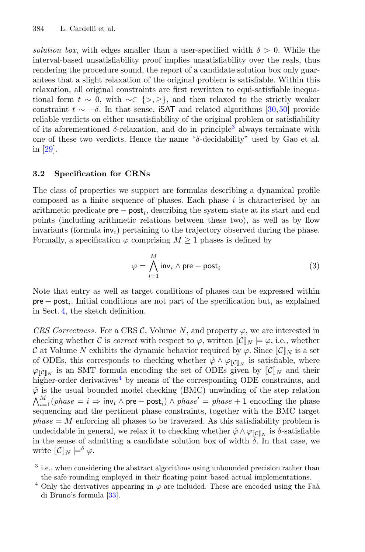*solution box*, with edges smaller than a user-specified width  $\delta > 0$ . While the interval-based unsatisfiability proof implies unsatisfiability over the reals, thus rendering the procedure sound, the report of a candidate solution box only guarantees that a slight relaxation of the original problem is satisfiable. Within this relaxation, all original constraints are first rewritten to equi-satisfiable inequational form  $t \sim 0$ , with ~∈ {>, ≥}, and then relaxed to the strictly weaker constraint  $t \sim -\delta$ . In that sense, iSAT and related algorithms [\[30](#page-18-13)[,50](#page-20-3)] provide reliable verdicts on either unsatisfiability of the original problem or satisfiability of its aforementioned  $\delta$ -relaxation, and do in principle<sup>[3](#page-9-0)</sup> always terminate with one of these two verdicts. Hence the name "δ-decidability" used by Gao et al. in [\[29\]](#page-18-14).

### <span id="page-9-2"></span>**3.2 Specification for CRNs**

The class of properties we support are formulas describing a dynamical profile composed as a finite sequence of phases. Each phase  $i$  is characterised by an arithmetic predicate  $pre - post<sub>i</sub>$ , describing the system state at its start and end points (including arithmetic relations between these two), as well as by flow invariants (formula  $inv_i$ ) pertaining to the trajectory observed during the phase. Formally, a specification  $\varphi$  comprising  $M \geq 1$  phases is defined by

$$
\varphi = \bigwedge_{i=1}^{M} \text{inv}_{i} \wedge \text{pre} - \text{post}_{i} \tag{3}
$$

Note that entry as well as target conditions of phases can be expressed within  $pre - post_i$ . Initial conditions are not part of the specification but, as explained in Sect. [4,](#page-10-0) the sketch definition.

*CRS Correctness.* For a CRS  $\mathcal{C}$ , Volume N, and property  $\varphi$ , we are interested in checking whether C is *correct* with respect to  $\varphi$ , written  $\llbracket \mathcal{C} \rrbracket_N \models \varphi$ , i.e., whether C at Volume N exhibits the dynamic behavior required by  $\varphi$ . Since  $\llbracket \mathcal{C} \rrbracket_N$  is a set of ODEs, this corresponds to checking whether  $\hat{\varphi} \wedge \varphi_{\llbracket \mathcal{C} \rrbracket_N}$  is satisfiable, where  $\varphi_{\llbracket \mathcal{C} \rrbracket_N}$  is an SMT formula encoding the set of ODEs given by  $\llbracket \mathcal{C} \rrbracket_N$  and their higher-order derivatives<sup>[4](#page-9-1)</sup> by means of the corresponding ODE constraints, and  $\hat{\varphi}$  is the usual bounded model checking (BMC) unwinding of the step relation  $\bigwedge_{i=1}^{M} (phase = i \Rightarrow inv_i \wedge pre - post_i) \wedge phase' = phase + 1$  encoding the phase sequencing and the pertinent phase constraints, together with the BMC target *phase* = M enforcing all phases to be traversed. As this satisfiability problem is undecidable in general, we relax it to checking whether  $\hat{\varphi} \wedge \varphi_{\llbracket C \rrbracket_N}$  is  $\delta$ -satisfiable in the sense of admitting a candidate solution box of width  $\delta$ . In that case, we write  $\mathcal{C} \|_{N} \models^{\delta} \varphi$ .

<span id="page-9-3"></span><span id="page-9-0"></span><sup>&</sup>lt;sup>3</sup> i.e., when considering the abstract algorithms using unbounded precision rather than the safe rounding employed in their floating-point based actual implementations.

<span id="page-9-1"></span> $^4$  Only the derivatives appearing in  $\varphi$  are included. These are encoded using the Faà di Bruno's formula [\[33\]](#page-19-17).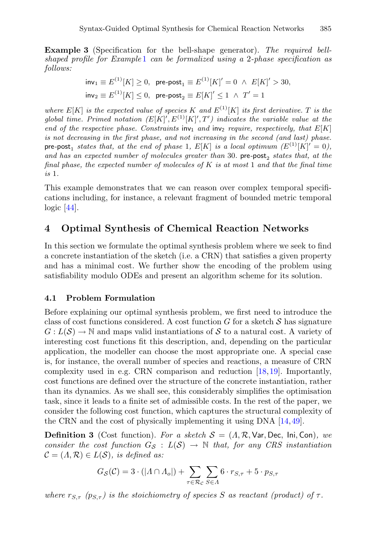**Example 3** (Specification for the bell-shape generator). *The required bellshaped profile for Example* [1](#page-6-0) *can be formalized using a* 2*-phase specification as follows:*

$$
inv_1 \equiv E^{(1)}[K] \ge 0, \text{ pre-post}_1 \equiv E^{(1)}[K]' = 0 \land E[K]' > 30,
$$
  
inv<sub>2</sub> ≡ E<sup>(1)</sup>[K] ≤ 0, pre-post<sub>2</sub> ≡ E[K]' ≤ 1  $\land$  T' = 1

*where*  $E[K]$  *is the expected value of species* K and  $E^{(1)}[K]$  *its first derivative.* T *is the* global time. Primed notation  $(E[K]', E^{(1)}[K]', T')$  indicates the variable value at the<br>end of the respective phase. Constraints invessed investment permectively that  $E[K]$  $T'$ *end of the respective phase. Constraints*  $inv_1$  *and*  $inv_2$  *require, respectively, that*  $E[K]$  *is not decreasing in the first phase and not increasing in the second (and last) phase is not decreasing in the first phase, and not increasing in the second (and last) phase.* pre-post<sub>1</sub> states that, at the end of phase 1,  $E[K]$  is a local optimum  $(E^{(1)}[K] = 0)$ ,<br>and has an ernected number of molecules greater than 30, pre-post, states that, at the and has an expected number of molecules greater than 30. pre-post<sub>2</sub> states that, at the *final phase, the expected number of molecules of* K *is at most* <sup>1</sup> *and that the final time is* 1*.*

This example demonstrates that we can reason over complex temporal specifications including, for instance, a relevant fragment of bounded metric temporal logic [\[44\]](#page-19-18).

# <span id="page-10-0"></span>**4 Optimal Synthesis of Chemical Reaction Networks**

In this section we formulate the optimal synthesis problem where we seek to find a concrete instantiation of the sketch (i.e. a CRN) that satisfies a given property and has a minimal cost. We further show the encoding of the problem using satisfiability modulo ODEs and present an algorithm scheme for its solution.

### **4.1 Problem Formulation**

Before explaining our optimal synthesis problem, we first need to introduce the class of cost functions considered. A cost function  $G$  for a sketch  $S$  has signature  $G: L(S) \to \mathbb{N}$  and maps valid instantiations of S to a natural cost. A variety of interesting cost functions fit this description, and, depending on the particular application, the modeller can choose the most appropriate one. A special case is, for instance, the overall number of species and reactions, a measure of CRN complexity used in e.g. CRN comparison and reduction [\[18](#page-18-9),[19\]](#page-18-15). Importantly, cost functions are defined over the structure of the concrete instantiation, rather than its dynamics. As we shall see, this considerably simplifies the optimisation task, since it leads to a finite set of admissible costs. In the rest of the paper, we consider the following cost function, which captures the structural complexity of the CRN and the cost of physically implementing it using DNA [\[14](#page-18-0)[,49](#page-19-2)].

<span id="page-10-1"></span>**Definition 3** (Cost function). *For a sketch*  $S = (A, R, \text{Var}, \text{Dec}, \text{Ini}, \text{Con})$ , we *consider the cost function*  $G_S : L(S) \to \mathbb{N}$  *that, for any CRS instantiation*  $\mathcal{C} = (\Lambda, \mathcal{R}) \in L(\mathcal{S})$ , is defined as:

$$
G_{\mathcal{S}}(\mathcal{C}) = 3 \cdot (|A \cap A_o|) + \sum_{\tau \in \mathcal{R}_{\mathcal{C}}} \sum_{S \in A} 6 \cdot r_{S,\tau} + 5 \cdot p_{S,\tau}
$$

*where*  $r_{S,\tau}$  ( $p_{S,\tau}$ ) *is the stoichiometry of species* S *as reactant (product) of*  $\tau$ *.*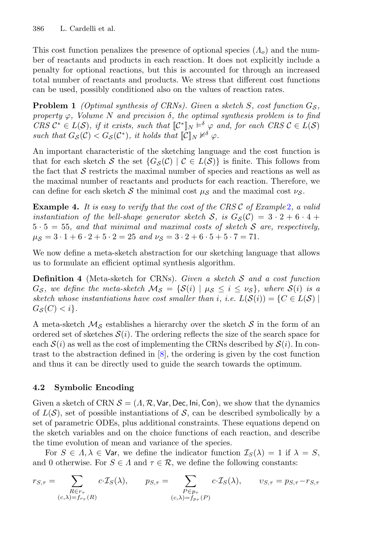This cost function penalizes the presence of optional species  $(\Lambda_o)$  and the number of reactants and products in each reaction. It does not explicitly include a penalty for optional reactions, but this is accounted for through an increased total number of reactants and products. We stress that different cost functions can be used, possibly conditioned also on the values of reaction rates.

**Problem 1** *(Optimal synthesis of CRNs). Given a sketch* S, cost function  $G_S$ , *property*  $\varphi$ *, Volume N and precision*  $\delta$ *, the optimal synthesis problem is to find CRS*  $\mathcal{C}^* \in L(\mathcal{S})$ *, if it exists, such that*  $\llbracket \mathcal{C}^* \rrbracket_N \models^{\delta} \varphi$  *and, for each CRS*  $\mathcal{C} \in L(\mathcal{S})$ such that  $G_{\mathcal{S}}(\mathcal{C}) < G_{\mathcal{S}}(\mathcal{C}^*)$ , it holds that  $[\![\mathcal{C}]\!]_N \nvDash^{\delta} \varphi$ .

An important characteristic of the sketching language and the cost function is that for each sketch S the set  $\{G_{\mathcal{S}}(\mathcal{C}) \mid \mathcal{C} \in L(\mathcal{S})\}$  is finite. This follows from the fact that  $\mathcal S$  restricts the maximal number of species and reactions as well as the maximal number of reactants and products for each reaction. Therefore, we can define for each sketch S the minimal cost  $\mu_s$  and the maximal cost  $\nu_s$ .

**Example 4.** It is easy to verify that the cost of the CRS C of Example [2](#page-7-1), a valid *instantiation of the bell-shape generator sketch*  $S$ *, is*  $G_S(\mathcal{C})=3 \cdot 2+6 \cdot 4+$ 5 · 5 = 55*, and that minimal and maximal costs of sketch* S *are, respectively,*  $\mu_S = 3 \cdot 1 + 6 \cdot 2 + 5 \cdot 2 = 25$  and  $\nu_S = 3 \cdot 2 + 6 \cdot 5 + 5 \cdot 7 = 71$ .

<span id="page-11-0"></span>We now define a meta-sketch abstraction for our sketching language that allows us to formulate an efficient optimal synthesis algorithm.

**Definition 4** (Meta-sketch for CRNs). *Given a sketch* S *and a cost function*  $G_S$ *, we define the meta-sketch*  $\mathcal{M}_S = \{ \mathcal{S}(i) \mid \mu_S \leq i \leq \nu_S \}$ *, where*  $\mathcal{S}(i)$  *is a sketch whose instantiations have cost smaller than i, i.e.*  $L(S(i)) = \{C \in L(S) |$  $G_{\mathcal{S}}(C) < i$ .

A meta-sketch  $\mathcal{M}_{\mathcal{S}}$  establishes a hierarchy over the sketch S in the form of an ordered set of sketches  $\mathcal{S}(i)$ . The ordering reflects the size of the search space for each  $\mathcal{S}(i)$  as well as the cost of implementing the CRNs described by  $\mathcal{S}(i)$ . In contrast to the abstraction defined in [\[8\]](#page-17-2), the ordering is given by the cost function and thus it can be directly used to guide the search towards the optimum.

# <span id="page-11-1"></span>**4.2 Symbolic Encoding**

Given a sketch of CRN  $S = (A, \mathcal{R}, \mathsf{Var}, \mathsf{Dec}, \mathsf{Ini}, \mathsf{Con}),$  we show that the dynamics of  $L(S)$ , set of possible instantiations of S, can be described symbolically by a set of parametric ODEs, plus additional constraints. These equations depend on the sketch variables and on the choice functions of each reaction, and describe the time evolution of mean and variance of the species.

For  $S \in A, \lambda \in \mathsf{Var}$ , we define the indicator function  $\mathcal{I}_S(\lambda) = 1$  if  $\lambda = S$ , and 0 otherwise. For  $S \in \Lambda$  and  $\tau \in \mathcal{R}$ , we define the following constants:

$$
r_{S,\tau} = \sum_{\substack{R \in r_{\tau} \\ (c,\lambda)=f_{r_{\tau}}(R)}} c \cdot \mathcal{I}_S(\lambda), \qquad p_{S,\tau} = \sum_{\substack{P \in p_{\tau} \\ (c,\lambda)=f_{p_{\tau}}(P)}} c \cdot \mathcal{I}_S(\lambda), \qquad v_{S,\tau} = p_{S,\tau} - r_{S,\tau}
$$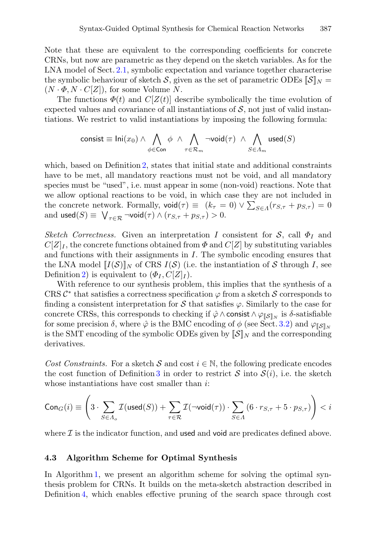Note that these are equivalent to the corresponding coefficients for concrete CRNs, but now are parametric as they depend on the sketch variables. As for the LNA model of Sect. [2.1,](#page-3-0) symbolic expectation and variance together characterise the symbolic behaviour of sketch  $S$ , given as the set of parametric ODEs  $\llbracket S \rrbracket_N =$  $(N \cdot \Phi, N \cdot C[Z]),$  for some Volume N.

The functions  $\Phi(t)$  and  $C[Z(t)]$  describe symbolically the time evolution of expected values and covariance of all instantiations of  $S$ , not just of valid instantiations. We restrict to valid instantiations by imposing the following formula:

$$
\mathsf{consist} \equiv \mathsf{Ini}(x_0) \land \bigwedge_{\phi \in \mathsf{Con}} \phi \ \land \ \bigwedge_{\tau \in \mathcal{R}_m} \neg \mathsf{void}(\tau) \ \land \ \bigwedge_{S \in \varLambda_m} \mathsf{used}(S)
$$

which, based on Definition [2,](#page-7-2) states that initial state and additional constraints have to be met, all mandatory reactions must not be void, and all mandatory species must be "used", i.e. must appear in some (non-void) reactions. Note that we allow optional reactions to be void, in which case they are not included in the concrete network. Formally,  $\text{void}(\tau) \equiv (k_{\tau} = 0) \vee \sum_{S \in \Lambda} (r_{S,\tau} + p_{S,\tau}) = 0$ and  $\mathsf{used}(S) \equiv \bigvee_{\tau \in \mathcal{R}} \neg \mathsf{void}(\tau) \land (r_{S,\tau} + p_{S,\tau}) > 0.$ 

*Sketch Correctness.* Given an interpretation I consistent for  $S$ , call  $\Phi_I$  and  $C[Z]_I$ , the concrete functions obtained from  $\Phi$  and  $C[Z]$  by substituting variables and functions with their assignments in  $I$ . The symbolic encoding ensures that the LNA model  $[[I(\mathcal{S})]]_N$  of CRS  $I(\mathcal{S})$  (i.e. the instantiation of S through I, see Definition [2\)](#page-7-2) is equivalent to  $(\Phi_I, C[Z]_I)$ .

With reference to our synthesis problem, this implies that the synthesis of a CRS  $\mathcal{C}^*$  that satisfies a correctness specification  $\varphi$  from a sketch  $\mathcal S$  corresponds to finding a consistent interpretation for S that satisfies  $\varphi$ . Similarly to the case for concrete CRSs, this corresponds to checking if  $\hat{\varphi} \wedge \text{consist} \wedge \varphi_{\llbracket S\rrbracket_N}$  is  $\delta$ -satisfiable for some precision  $\delta$ , where  $\hat{\varphi}$  is the BMC encoding of  $\phi$  (see Sect. [3.2\)](#page-9-2) and  $\varphi_{\llbracket S\rrbracket_N}$ is the SMT encoding of the symbolic ODEs given by  $[\![S]\!]_N$  and the corresponding derivatives.

*Cost Constraints.* For a sketch S and cost  $i \in \mathbb{N}$ , the following predicate encodes the cost function of Definition [3](#page-10-1) in order to restrict S into  $S(i)$ , i.e. the sketch whose instantiations have cost smaller than *i*:

$$
\mathsf{Con}_G(i) \equiv \left(3 \cdot \sum_{S \in \varLambda_o} \mathcal{I}(\mathsf{used}(S)) + \sum_{\tau \in \mathcal{R}} \mathcal{I}(\neg \mathsf{void}(\tau)) \cdot \sum_{S \in \varLambda} \left(6 \cdot r_{S, \tau} + 5 \cdot p_{S, \tau}\right)\right) < i
$$

where  $\mathcal I$  is the indicator function, and used and void are predicates defined above.

#### **4.3 Algorithm Scheme for Optimal Synthesis**

In Algorithm [1,](#page-13-0) we present an algorithm scheme for solving the optimal synthesis problem for CRNs. It builds on the meta-sketch abstraction described in Definition [4,](#page-11-0) which enables effective pruning of the search space through cost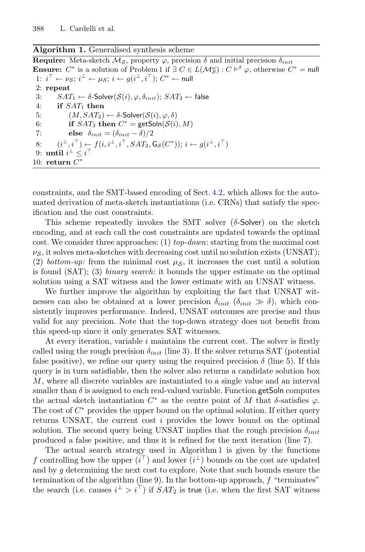#### <span id="page-13-0"></span>**Algorithm 1.** Generalised synthesis scheme

**Require:** Meta-sketch  $\mathcal{M}_{\mathcal{S}}$ , property  $\varphi$ , precision  $\delta$  and initial precision  $\delta_{init}$ **Ensure:**  $C^*$  is a solution of Problem 1 if  $\exists C \in L(\mathcal{M}_{\mathcal{S}}^{\omega})$  :  $C \models^{\delta} \varphi$ , otherwise  $C^* = \text{null}$ <br>  $1 \cdot i^{\top} \leftarrow \text{loc} \, i^{\bot} \leftarrow \text{loc} \, i \leftarrow a(i^{\bot} \, i^{\top}) \cdot C^* \leftarrow \text{null}$  $1: i^+ \leftarrow \nu_{\mathcal{S}}; i^+ \leftarrow \mu_{\mathcal{S}}; i \leftarrow g(i^+, i^+); C^* \leftarrow \text{null}$ <br>?  $\mathbf{r}$  repeat 2: **repeat** 3:  $SAT_1 \leftarrow \delta\text{-}Solver(S(i), \varphi, \delta_{init}); SAT_2 \leftarrow false$ <br>4: if  $SAT_1$  then 4: **if**  $SAT_1$  **then**<br>5:  $(M, SAT_2)$ 5:  $(M, SAT_2) \leftarrow \delta$ -Solver $(S(i), \varphi, \delta)$ <br>6: **if**  $SAT_2$  **then**  $C^* = \text{getSoln}(S(i))$ 6: **if**  $SAT_2$  **then**  $C^* = \text{getSoln}(S(i), M)$ <br>7: **else**  $\delta_{init} = (\delta_{init} - \delta)/2$ 7: **else**  $\delta_{init} = (\delta_{init} - \delta)/2$ <br>
8:  $(i^{\perp}, i^{\top}) \leftarrow f(i, i^{\perp}, i^{\top}, SAT_2, \mathsf{G}_{\mathcal{S}}(C^*)); i \leftarrow g(i^{\perp}, i^{\top})$ <br>
9: **until**  $i^{\perp} \leq i^{\top}$ 8: (i<br>9. until 9: **until**  $i^{\perp} \leq i^{\perp}$ <br>0: **return**  $C^*$ 10: **return** C<sup>∗</sup>

constraints, and the SMT-based encoding of Sect. [4.2,](#page-11-1) which allows for the automated derivation of meta-sketch instantiations (i.e. CRNs) that satisfy the specification and the cost constraints.

This scheme repeatedly invokes the SMT solver ( $\delta$ -Solver) on the sketch encoding, and at each call the cost constraints are updated towards the optimal cost. We consider three approaches: (1) *top-down*: starting from the maximal cost  $\nu_{\mathcal{S}}$ , it solves meta-sketches with decreasing cost until no solution exists (UNSAT); (2) *bottom-up:* from the minimal cost  $\mu_{\mathcal{S}}$ , it increases the cost until a solution is found (SAT); (3) *binary search:* it bounds the upper estimate on the optimal solution using a SAT witness and the lower estimate with an UNSAT witness.

We further improve the algorithm by exploiting the fact that UNSAT witnesses can also be obtained at a lower precision  $\delta_{init}$  ( $\delta_{init} \gg \delta$ ), which consistently improves performance. Indeed, UNSAT outcomes are precise and thus valid for any precision. Note that the top-down strategy does not benefit from this speed-up since it only generates SAT witnesses.

At every iteration, variable  $i$  maintains the current cost. The solver is firstly called using the rough precision  $\delta_{init}$  (line 3). If the solver returns SAT (potential false positive), we refine our query using the required precision  $\delta$  (line 5). If this query is in turn satisfiable, then the solver also returns a candidate solution box M, where all discrete variables are instantiated to a single value and an interval smaller than  $\delta$  is assigned to each real-valued variable. Function getSoln computes the actual sketch instantiation  $C^*$  as the centre point of M that  $\delta$ -satisfies  $\varphi$ . The cost of  $C^*$  provides the upper bound on the optimal solution. If either query returns UNSAT, the current cost i provides the lower bound on the optimal solution. The second query being UNSAT implies that the rough precision  $\delta_{init}$ produced a false positive, and thus it is refined for the next iteration (line 7).

The actual search strategy used in Algorithm  $1$  is given by the functions f controlling how the upper  $(i<sup>+</sup>)$  and lower  $(i<sup>+</sup>)$  bounds on the cost are updated and by g determining the next cost to explore. Note that such bounds ensure the termination of the algorithm (line 9). In the bottom-up approach,  $f$  "terminates" the search (i.e. causes  $i^{\perp} > i^{\perp}$ ) if  $SAT_2$  is true (i.e. when the first SAT witness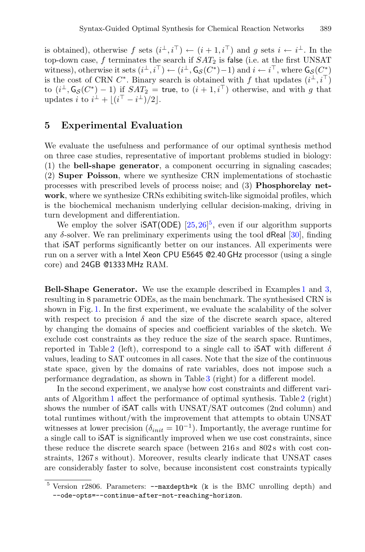is obtained), otherwise f sets  $(i^{\perp}, i^{\perp}) \leftarrow (i+1, i^{\perp})$  and g sets  $i \leftarrow i^{\perp}$ . In the top-down case, f terminates the search if  $SAT<sub>2</sub>$  is false (i.e. at the first UNSAT witness), otherwise it sets  $(i^{\perp}, i^{\perp}) \leftarrow (i^{\perp}, \mathsf{G}_{\mathcal{S}}(C^*)-1)$  and  $i \leftarrow i^{\perp}$ , where  $\mathsf{G}_{\mathcal{S}}(C^*)$ is the cost of CRN  $C^*$ . Binary search is obtained with f that updates  $(i^{\perp}, i^{\perp})$ to  $(i^{\perp}, \mathsf{G}_{\mathcal{S}}(C^*)-1)$  if  $SAT_2 =$  true, to  $(i+1, i^{\perp})$  otherwise, and with g that updates *i* to  $i^{\perp} + \lfloor (i^{\perp} - i^{\perp})/2 \rfloor$ .

### <span id="page-14-0"></span>**5 Experimental Evaluation**

We evaluate the usefulness and performance of our optimal synthesis method on three case studies, representative of important problems studied in biology: (1) the **bell-shape generator**, a component occurring in signaling cascades; (2) **Super Poisson**, where we synthesize CRN implementations of stochastic processes with prescribed levels of process noise; and (3) **Phosphorelay network**, where we synthesize CRNs exhibiting switch-like sigmoidal profiles, which is the biochemical mechanism underlying cellular decision-making, driving in turn development and differentiation.

We employ the solver  $\mathsf{iSAT}(\mathsf{ODE})$   $[25,26]^5$  $[25,26]^5$  $[25,26]^5$  $[25,26]^5$  $[25,26]^5$ , even if our algorithm supports any  $\delta$ -solver. We ran preliminary experiments using the tool dReal [\[30](#page-18-13)], finding that iSAT performs significantly better on our instances. All experiments were run on a server with a Intel Xeon CPU E5645 @2.40 GHz processor (using a single core) and 24GB @1333 MHz RAM.

**Bell-Shape Generator.** We use the example described in Examples [1](#page-6-0) and [3,](#page-9-3) resulting in 8 parametric ODEs, as the main benchmark. The synthesised CRN is shown in Fig. [1.](#page-16-0) In the first experiment, we evaluate the scalability of the solver with respect to precision  $\delta$  and the size of the discrete search space, altered by changing the domains of species and coefficient variables of the sketch. We exclude cost constraints as they reduce the size of the search space. Runtimes, reported in Table [2](#page-15-0) (left), correspond to a single call to iSAT with different  $\delta$ values, leading to SAT outcomes in all cases. Note that the size of the continuous state space, given by the domains of rate variables, does not impose such a performance degradation, as shown in Table [3](#page-15-1) (right) for a different model.

In the second experiment, we analyse how cost constraints and different variants of Algorithm [1](#page-13-0) affect the performance of optimal synthesis. Table [2](#page-15-0) (right) shows the number of iSAT calls with UNSAT/SAT outcomes (2nd column) and total runtimes without/with the improvement that attempts to obtain UNSAT witnesses at lower precision ( $\delta_{init} = 10^{-1}$ ). Importantly, the average runtime for a single call to iSAT is significantly improved when we use cost constraints, since these reduce the discrete search space (between 216 s and 802 s with cost constraints, 1267 s without). Moreover, results clearly indicate that UNSAT cases are considerably faster to solve, because inconsistent cost constraints typically

<span id="page-14-1"></span> $5$  Version r2806. Parameters:  $-\text{maxdepth=k}$  (k is the BMC unrolling depth) and --ode-opts=--continue-after-not-reaching-horizon.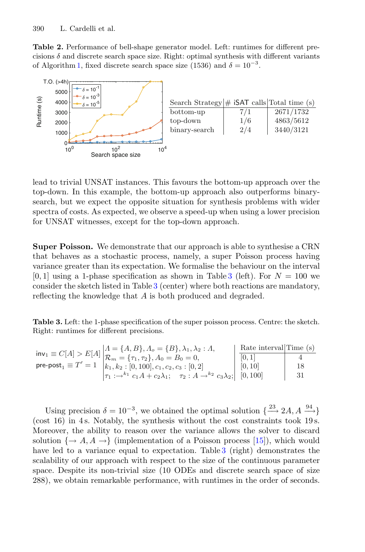<span id="page-15-0"></span>**Table 2.** Performance of bell-shape generator model. Left: runtimes for different precisions  $\delta$  and discrete search space size. Right: optimal synthesis with different variants of Algorithm [1,](#page-13-0) fixed discrete search space size (1536) and  $\delta = 10^{-3}$ .



lead to trivial UNSAT instances. This favours the bottom-up approach over the top-down. In this example, the bottom-up approach also outperforms binarysearch, but we expect the opposite situation for synthesis problems with wider spectra of costs. As expected, we observe a speed-up when using a lower precision for UNSAT witnesses, except for the top-down approach.

**Super Poisson.** We demonstrate that our approach is able to synthesise a CRN that behaves as a stochastic process, namely, a super Poisson process having variance greater than its expectation. We formalise the behaviour on the interval  $[0, 1]$  using a 1-phase specification as shown in Table [3](#page-15-1) (left). For  $N = 100$  we consider the sketch listed in Table [3](#page-15-1) (center) where both reactions are mandatory, reflecting the knowledge that A is both produced and degraded.

<span id="page-15-1"></span>**Table 3.** Left: the 1-phase specification of the super poisson process. Centre: the sketch. Right: runtimes for different precisions.

|                                                                                                                                       | Rate interval $\text{Time}$ (s) |      |
|---------------------------------------------------------------------------------------------------------------------------------------|---------------------------------|------|
| $inv_1 \equiv C[A] > E[A] \bigg  \frac{A = \{A, B\}, A_o = \{B\}, \lambda_1, \lambda_2 : A, \mathcal{R}_o = \{A, B\}, A_o = B_o = 0,$ | [0,1]                           |      |
| $\mathsf{pre\text{-}post}_1 \equiv T' = 1 \ \  k_1, k_2 : [0, 100], c_1, c_2, c_3 : [0, 2]$                                           | [0, 10]                         | -18  |
| $ \tau_1 : \rightarrow^{k_1} c_1 A + c_2 \lambda_1; \quad \tau_2 : A \rightarrow^{k_2} c_3 \lambda_2;   [0, 100]$                     |                                 | - 31 |

Using precision  $\delta = 10^{-3}$ , we obtained the optimal solution  $\{\frac{23}{\epsilon} \text{, } 2A, A \overset{94}{\longrightarrow} \}$ ( $\cos t$  16) in 4 s. Notably, the synthesis without the cost constraints took 19 s. Moreover, the ability to reason over the variance allows the solver to discard solution  $\{\rightarrow A, A \rightarrow \}$  (implementation of a Poisson process [\[15](#page-18-16)]), which would have led to a variance equal to expectation. Table [3](#page-15-1) (right) demonstrates the scalability of our approach with respect to the size of the continuous parameter space. Despite its non-trivial size (10 ODEs and discrete search space of size 288), we obtain remarkable performance, with runtimes in the order of seconds.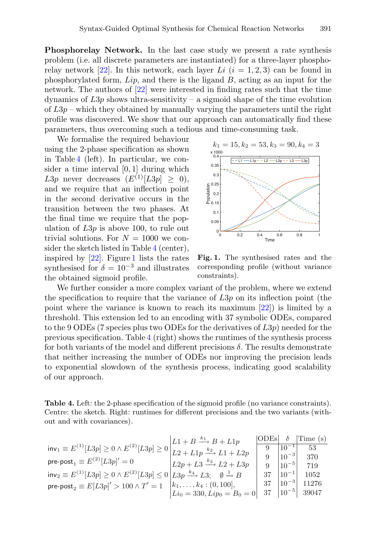**Phosphorelay Network.** In the last case study we present a rate synthesis problem (i.e. all discrete parameters are instantiated) for a three-layer phospho-relay network [\[22\]](#page-18-17). In this network, each layer Li  $(i = 1, 2, 3)$  can be found in phosphorylated form,  $Lip$ , and there is the ligand  $B$ , acting as an input for the network. The authors of [\[22\]](#page-18-17) were interested in finding rates such that the time dynamics of  $L3p$  shows ultra-sensitivity – a sigmoid shape of the time evolution of  $L3p$  – which they obtained by manually varying the parameters until the right profile was discovered. We show that our approach can automatically find these parameters, thus overcoming such a tedious and time-consuming task.

We formalise the required behaviour using the 2-phase specification as shown in Table [4](#page-16-1) (left). In particular, we consider a time interval [0, 1] during which L3p never decreases  $(E^{(1)}[L3p] \geq 0)$ , and we require that an inflection point in the second derivative occurs in the transition between the two phases. At the final time we require that the population of  $L3p$  is above 100, to rule out trivial solutions. For  $N = 1000$  we consider the sketch listed in Table [4](#page-16-1) (center), inspired by [\[22](#page-18-17)]. Figure [1](#page-16-0) lists the rates synthesised for  $\delta = 10^{-3}$  and illustrates the obtained sigmoid profile.



<span id="page-16-0"></span>**Fig. 1.** The synthesised rates and the corresponding profile (without variance constraints).

We further consider a more complex variant of the problem, where we extend the specification to require that the variance of  $L3p$  on its inflection point (the point where the variance is known to reach its maximum [\[22](#page-18-17)]) is limited by a threshold. This extension led to an encoding with 37 symbolic ODEs, compared to the 9 ODEs (7 species plus two ODEs for the derivatives of  $L3p$ ) needed for the previous specification. Table [4](#page-16-1) (right) shows the runtimes of the synthesis process for both variants of the model and different precisions  $\delta$ . The results demonstrate that neither increasing the number of ODEs nor improving the precision leads to exponential slowdown of the synthesis process, indicating good scalability of our approach.

<span id="page-16-1"></span>**Table 4.** Left: the 2-phase specification of the sigmoid profile (no variance constraints). Centre: the sketch. Right: runtimes for different precisions and the two variants (without and with covariances).

|                                                                                                                                       | $L1 + B \xrightarrow{k_1} B + L1p$    | $\vert$ ODEs $\vert \delta$ |             | $\text{Time}(s)$  |
|---------------------------------------------------------------------------------------------------------------------------------------|---------------------------------------|-----------------------------|-------------|-------------------|
| $inv_1 \equiv E^{(1)}[L3p] \geq 0 \wedge E^{(2)}[L3p] \geq 0$                                                                         | $L2 + L1p \xrightarrow{k_2} L1 + L2p$ |                             | $10^{-1}$   | 53                |
| $\mathsf{pre\text{-}post}_{1} \equiv E^{(2)}[L3p]' = 0$                                                                               |                                       |                             | $10^{-3}$   | 370               |
|                                                                                                                                       | $L2p + L3 \xrightarrow{k_3} L2 + L3p$ |                             | $ 10^{-5} $ | 719               |
| $\text{inv}_2 \equiv E^{(1)}[L3p] \ge 0 \wedge E^{(2)}[L3p] \le 0 \left  L3p \xrightarrow{k_4} L3; \quad \emptyset \xrightarrow{1} B$ |                                       | 37                          | $ 10^{-1} $ | 1052              |
| $\mathsf{pre\text{-}post}_2 \equiv E[L3p]' > 100 \wedge T' = 1$                                                                       | $[k_1,\ldots,k_4:(0,100],$            | 37                          | $ 10^{-3} $ | 11276             |
|                                                                                                                                       | $Li_0 = 330, Lip_0 = B_0 = 0$         | 37                          |             | $ 10^{-5} $ 39047 |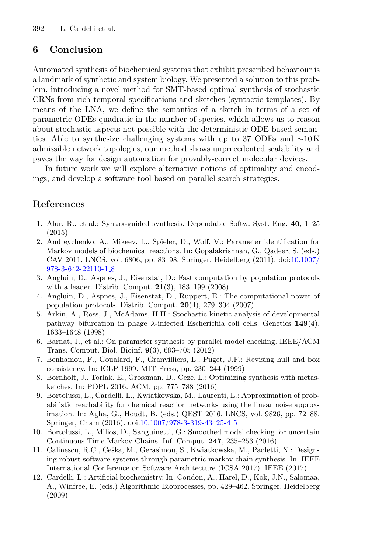# **6 Conclusion**

Automated synthesis of biochemical systems that exhibit prescribed behaviour is a landmark of synthetic and system biology. We presented a solution to this problem, introducing a novel method for SMT-based optimal synthesis of stochastic CRNs from rich temporal specifications and sketches (syntactic templates). By means of the LNA, we define the semantics of a sketch in terms of a set of parametric ODEs quadratic in the number of species, which allows us to reason about stochastic aspects not possible with the deterministic ODE-based semantics. Able to synthesize challenging systems with up to 37 ODEs and  $\sim$ 10 K admissible network topologies, our method shows unprecedented scalability and paves the way for design automation for provably-correct molecular devices.

In future work we will explore alternative notions of optimality and encodings, and develop a software tool based on parallel search strategies.

# <span id="page-17-1"></span>**References**

- 1. Alur, R., et al.: Syntax-guided synthesis. Dependable Softw. Syst. Eng. **40**, 1–25 (2015)
- <span id="page-17-6"></span>2. Andreychenko, A., Mikeev, L., Spieler, D., Wolf, V.: Parameter identification for Markov models of biochemical reactions. In: Gopalakrishnan, G., Qadeer, S. (eds.) CAV 2011. LNCS, vol. 6806, pp. 83–98. Springer, Heidelberg (2011). doi[:10.1007/](http://dx.doi.org/10.1007/978-3-642-22110-1_8) [978-3-642-22110-1](http://dx.doi.org/10.1007/978-3-642-22110-1_8) 8
- <span id="page-17-4"></span>3. Angluin, D., Aspnes, J., Eisenstat, D.: Fast computation by population protocols with a leader. Distrib. Comput. **21**(3), 183–199 (2008)
- <span id="page-17-0"></span>4. Angluin, D., Aspnes, J., Eisenstat, D., Ruppert, E.: The computational power of population protocols. Distrib. Comput. **20**(4), 279–304 (2007)
- <span id="page-17-3"></span>5. Arkin, A., Ross, J., McAdams, H.H.: Stochastic kinetic analysis of developmental pathway bifurcation in phage  $\lambda$ -infected Escherichia coli cells. Genetics  $149(4)$ , 1633–1648 (1998)
- <span id="page-17-7"></span>6. Barnat, J., et al.: On parameter synthesis by parallel model checking. IEEE/ACM Trans. Comput. Biol. Bioinf. **9**(3), 693–705 (2012)
- <span id="page-17-11"></span>7. Benhamou, F., Goualard, F., Granvilliers, L., Puget, J.F.: Revising hull and box consistency. In: ICLP 1999. MIT Press, pp. 230–244 (1999)
- <span id="page-17-2"></span>8. Bornholt, J., Torlak, E., Grossman, D., Ceze, L.: Optimizing synthesis with metasketches. In: POPL 2016. ACM, pp. 775–788 (2016)
- <span id="page-17-9"></span>9. Bortolussi, L., Cardelli, L., Kwiatkowska, M., Laurenti, L.: Approximation of probabilistic reachability for chemical reaction networks using the linear noise approximation. In: Agha, G., Houdt, B. (eds.) QEST 2016. LNCS, vol. 9826, pp. 72–88. Springer, Cham (2016). doi[:10.1007/978-3-319-43425-4](http://dx.doi.org/10.1007/978-3-319-43425-4_5) 5
- <span id="page-17-8"></span>10. Bortolussi, L., Milios, D., Sanguinetti, G.: Smoothed model checking for uncertain Continuous-Time Markov Chains. Inf. Comput. **247**, 235–253 (2016)
- <span id="page-17-5"></span>11. Calinescu, R.C., Češka, M., Gerasimou, S., Kwiatkowska, M., Paoletti, N.: Designing robust software systems through parametric markov chain synthesis. In: IEEE International Conference on Software Architecture (ICSA 2017). IEEE (2017)
- <span id="page-17-10"></span>12. Cardelli, L.: Artificial biochemistry. In: Condon, A., Harel, D., Kok, J.N., Salomaa, A., Winfree, E. (eds.) Algorithmic Bioprocesses, pp. 429–462. Springer, Heidelberg (2009)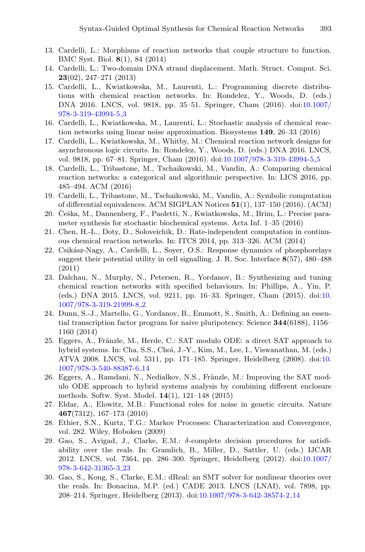- <span id="page-18-10"></span>13. Cardelli, L.: Morphisms of reaction networks that couple structure to function. BMC Syst. Biol. **8**(1), 84 (2014)
- <span id="page-18-0"></span>14. Cardelli, L.: Two-domain DNA strand displacement. Math. Struct. Comput. Sci. **23**(02), 247–271 (2013)
- <span id="page-18-16"></span>15. Cardelli, L., Kwiatkowska, M., Laurenti, L.: Programming discrete distributions with chemical reaction networks. In: Rondelez, Y., Woods, D. (eds.) DNA 2016. LNCS, vol. 9818, pp. 35–51. Springer, Cham (2016). doi[:10.1007/](http://dx.doi.org/10.1007/978-3-319-43994-5_3) [978-3-319-43994-5](http://dx.doi.org/10.1007/978-3-319-43994-5_3) 3
- <span id="page-18-11"></span>16. Cardelli, L., Kwiatkowska, M., Laurenti, L.: Stochastic analysis of chemical reaction networks using linear noise approximation. Biosystems **149**, 26–33 (2016)
- <span id="page-18-1"></span>17. Cardelli, L., Kwiatkowska, M., Whitby, M.: Chemical reaction network designs for asynchronous logic circuits. In: Rondelez, Y., Woods, D. (eds.) DNA 2016. LNCS, vol. 9818, pp. 67–81. Springer, Cham (2016). doi[:10.1007/978-3-319-43994-5](http://dx.doi.org/10.1007/978-3-319-43994-5_5) 5
- <span id="page-18-9"></span>18. Cardelli, L., Tribastone, M., Tschaikowski, M., Vandin, A.: Comparing chemical reaction networks: a categorical and algorithmic perspective. In: LICS 2016, pp. 485–494. ACM (2016)
- <span id="page-18-15"></span>19. Cardelli, L., Tribastone, M., Tschaikowski, M., Vandin, A.: Symbolic computation of differential equivalences. ACM SIGPLAN Notices **51**(1), 137–150 (2016). (ACM)
- <span id="page-18-3"></span>20. Češka, M., Dannenberg, F., Paoletti, N., Kwiatkowska, M., Brim, L.: Precise parameter synthesis for stochastic biochemical systems. Acta Inf. 1–35 (2016)
- <span id="page-18-2"></span>21. Chen, H.-L., Doty, D., Soloveichik, D.: Rate-independent computation in continuous chemical reaction networks. In: ITCS 2014, pp. 313–326. ACM (2014)
- <span id="page-18-17"></span>22. Csik´asz-Nagy, A., Cardelli, L., Soyer, O.S.: Response dynamics of phosphorelays suggest their potential utility in cell signalling. J. R. Soc. Interface **8**(57), 480–488 (2011)
- <span id="page-18-4"></span>23. Dalchau, N., Murphy, N., Petersen, R., Yordanov, B.: Synthesizing and tuning chemical reaction networks with specified behaviours. In: Phillips, A., Yin, P. (eds.) DNA 2015. LNCS, vol. 9211, pp. 16–33. Springer, Cham (2015). doi[:10.](http://dx.doi.org/10.1007/978-3-319-21999-8_2) [1007/978-3-319-21999-8](http://dx.doi.org/10.1007/978-3-319-21999-8_2) 2
- <span id="page-18-8"></span>24. Dunn, S.-J., Martello, G., Yordanov, B., Emmott, S., Smith, A.: Defining an essential transcription factor program for naive pluripotency. Science **344**(6188), 1156– 1160 (2014)
- <span id="page-18-12"></span>25. Eggers, A., Fränzle, M., Herde, C.: SAT modulo ODE: a direct SAT approach to hybrid systems. In: Cha, S.S., Choi, J.-Y., Kim, M., Lee, I., Viswanathan, M. (eds.) ATVA 2008. LNCS, vol. 5311, pp. 171–185. Springer, Heidelberg (2008). doi[:10.](http://dx.doi.org/10.1007/978-3-540-88387-6_14) [1007/978-3-540-88387-6](http://dx.doi.org/10.1007/978-3-540-88387-6_14) 14
- <span id="page-18-7"></span>26. Eggers, A., Ramdani, N., Nedialkov, N.S., Fränzle, M.: Improving the SAT modulo ODE approach to hybrid systems analysis by combining different enclosure methods. Softw. Syst. Model. **14**(1), 121–148 (2015)
- <span id="page-18-5"></span>27. Eldar, A., Elowitz, M.B.: Functional roles for noise in genetic circuits. Nature **467**(7312), 167–173 (2010)
- <span id="page-18-6"></span>28. Ethier, S.N., Kurtz, T.G.: Markov Processes: Characterization and Convergence, vol. 282. Wiley, Hoboken (2009)
- <span id="page-18-14"></span>29. Gao, S., Avigad, J., Clarke, E.M.: δ-complete decision procedures for satisfiability over the reals. In: Gramlich, B., Miller, D., Sattler, U. (eds.) IJCAR 2012. LNCS, vol. 7364, pp. 286–300. Springer, Heidelberg (2012). doi[:10.1007/](http://dx.doi.org/10.1007/978-3-642-31365-3_23) [978-3-642-31365-3](http://dx.doi.org/10.1007/978-3-642-31365-3_23) 23
- <span id="page-18-13"></span>30. Gao, S., Kong, S., Clarke, E.M.: dReal: an SMT solver for nonlinear theories over the reals. In: Bonacina, M.P. (ed.) CADE 2013. LNCS (LNAI), vol. 7898, pp. 208–214. Springer, Heidelberg (2013). doi[:10.1007/978-3-642-38574-2](http://dx.doi.org/10.1007/978-3-642-38574-2_14) 14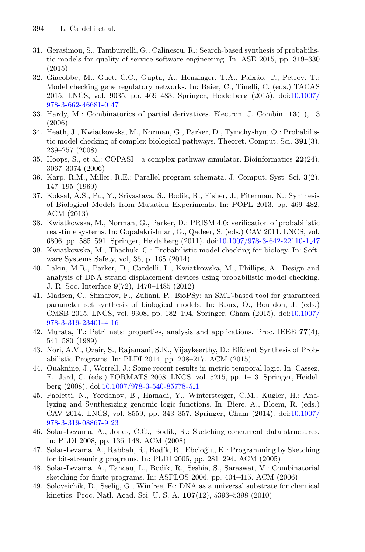- <span id="page-19-11"></span>31. Gerasimou, S., Tamburrelli, G., Calinescu, R.: Search-based synthesis of probabilistic models for quality-of-service software engineering. In: ASE 2015, pp. 319–330 (2015)
- <span id="page-19-3"></span>32. Giacobbe, M., Guet, C.C., Gupta, A., Henzinger, T.A., Paixão, T., Petrov, T.: Model checking gene regulatory networks. In: Baier, C., Tinelli, C. (eds.) TACAS 2015. LNCS, vol. 9035, pp. 469–483. Springer, Heidelberg (2015). doi[:10.1007/](http://dx.doi.org/10.1007/978-3-662-46681-0_47) [978-3-662-46681-0](http://dx.doi.org/10.1007/978-3-662-46681-0_47) 47
- <span id="page-19-17"></span>33. Hardy, M.: Combinatorics of partial derivatives. Electron. J. Combin. **13**(1), 13 (2006)
- <span id="page-19-4"></span>34. Heath, J., Kwiatkowska, M., Norman, G., Parker, D., Tymchyshyn, O.: Probabilistic model checking of complex biological pathways. Theoret. Comput. Sci. **391**(3), 239–257 (2008)
- <span id="page-19-14"></span>35. Hoops, S., et al.: COPASI - a complex pathway simulator. Bioinformatics **22**(24), 3067–3074 (2006)
- <span id="page-19-1"></span>36. Karp, R.M., Miller, R.E.: Parallel program schemata. J. Comput. Syst. Sci. **3**(2), 147–195 (1969)
- <span id="page-19-8"></span>37. Koksal, A.S., Pu, Y., Srivastava, S., Bodik, R., Fisher, J., Piterman, N.: Synthesis of Biological Models from Mutation Experiments. In: POPL 2013, pp. 469–482. ACM (2013)
- <span id="page-19-12"></span>38. Kwiatkowska, M., Norman, G., Parker, D.: PRISM 4.0: verification of probabilistic real-time systems. In: Gopalakrishnan, G., Qadeer, S. (eds.) CAV 2011. LNCS, vol. 6806, pp. 585–591. Springer, Heidelberg (2011). doi[:10.1007/978-3-642-22110-1](http://dx.doi.org/10.1007/978-3-642-22110-1_47) 47
- <span id="page-19-16"></span>39. Kwiatkowska, M., Thachuk, C.: Probabilistic model checking for biology. In: Software Systems Safety, vol, 36, p. 165 (2014)
- <span id="page-19-5"></span>40. Lakin, M.R., Parker, D., Cardelli, L., Kwiatkowska, M., Phillips, A.: Design and analysis of DNA strand displacement devices using probabilistic model checking. J. R. Soc. Interface **9**(72), 1470–1485 (2012)
- <span id="page-19-15"></span>41. Madsen, C., Shmarov, F., Zuliani, P.: BioPSy: an SMT-based tool for guaranteed parameter set synthesis of biological models. In: Roux, O., Bourdon, J. (eds.) CMSB 2015. LNCS, vol. 9308, pp. 182–194. Springer, Cham (2015). doi[:10.1007/](http://dx.doi.org/10.1007/978-3-319-23401-4_16) [978-3-319-23401-4](http://dx.doi.org/10.1007/978-3-319-23401-4_16) 16
- <span id="page-19-0"></span>42. Murata, T.: Petri nets: properties, analysis and applications. Proc. IEEE **77**(4), 541–580 (1989)
- <span id="page-19-10"></span>43. Nori, A.V., Ozair, S., Rajamani, S.K., Vijaykeerthy, D.: Effcient Synthesis of Probabilistic Programs. In: PLDI 2014, pp. 208–217. ACM (2015)
- <span id="page-19-18"></span>44. Ouaknine, J., Worrell, J.: Some recent results in metric temporal logic. In: Cassez, F., Jard, C. (eds.) FORMATS 2008. LNCS, vol. 5215, pp. 1–13. Springer, Heidelberg (2008). doi[:10.1007/978-3-540-85778-5](http://dx.doi.org/10.1007/978-3-540-85778-5_1) 1
- <span id="page-19-13"></span>45. Paoletti, N., Yordanov, B., Hamadi, Y., Wintersteiger, C.M., Kugler, H.: Analyzing and Synthesizing genomic logic functions. In: Biere, A., Bloem, R. (eds.) CAV 2014. LNCS, vol. 8559, pp. 343–357. Springer, Cham (2014). doi[:10.1007/](http://dx.doi.org/10.1007/978-3-319-08867-9_23) [978-3-319-08867-9](http://dx.doi.org/10.1007/978-3-319-08867-9_23) 23
- <span id="page-19-7"></span>46. Solar-Lezama, A., Jones, C.G., Bodik, R.: Sketching concurrent data structures. In: PLDI 2008, pp. 136–148. ACM (2008)
- <span id="page-19-6"></span>47. Solar-Lezama, A., Rabbah, R., Bodík, R., Ebcioğlu, K.: Programming by Sketching for bit-streaming programs. In: PLDI 2005, pp. 281–294. ACM (2005)
- <span id="page-19-9"></span>48. Solar-Lezama, A., Tancau, L., Bodik, R., Seshia, S., Saraswat, V.: Combinatorial sketching for finite programs. In: ASPLOS 2006, pp. 404–415. ACM (2006)
- <span id="page-19-2"></span>49. Soloveichik, D., Seelig, G., Winfree, E.: DNA as a universal substrate for chemical kinetics. Proc. Natl. Acad. Sci. U. S. A. **107**(12), 5393–5398 (2010)